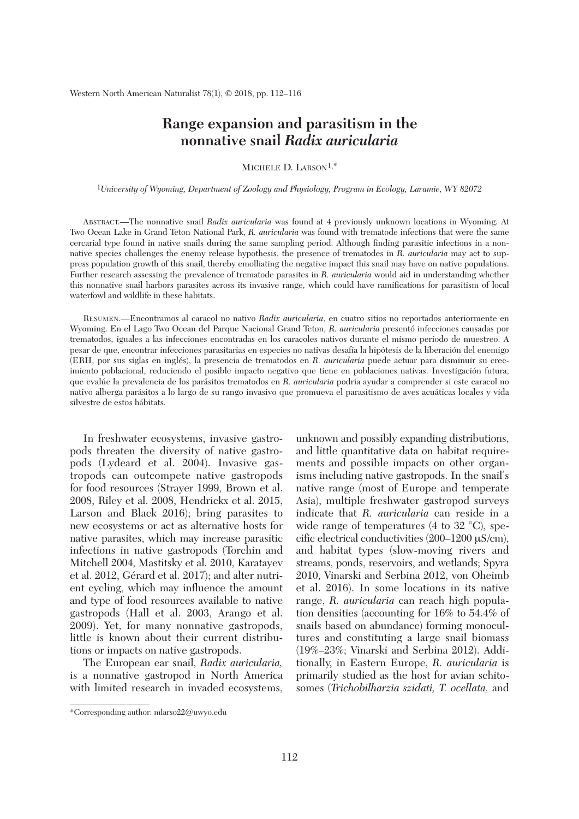## **Range expansion and parasitism in the nonnative snail** *Radix auricularia*

MICHELE D. LARSON<sup>1,\*</sup>

1*University of Wyoming, Department of Zoology and Physiology, Program in Ecology, Laramie, WY 82072*

 ABSTRACT.—The nonnative snail *Radix auricularia* was found at 4 previously unknown locations in Wyoming. At Two Ocean Lake in Grand Teton National Park, *R. auricularia* was found with trematode infections that were the same cercarial type found in native snails during the same sampling period. Although finding parasitic infections in a nonnative species challenges the enemy release hypothesis, the presence of trematodes in *R. auricularia* may act to suppress population growth of this snail, thereby emolliating the negative impact this snail may have on native populations. Further research assessing the prevalence of trematode parasites in *R. auricularia* would aid in understanding whether this nonnative snail harbors parasites across its invasive range, which could have ramifications for parasitism of local waterfowl and wildlife in these habitats.

 RESUMEN.—Encontramos al caracol no nativo *Radix auricularia*, en cuatro sitios no reportados anteriormente en Wyoming. En el Lago Two Ocean del Parque Nacional Grand Teton, *R. auricularia* presentó infecciones causadas por trematodos, iguales a las infecciones encontradas en los caracoles nativos durante el mismo período de muestreo. A pesar de que, encontrar infecciones parasitarias en especies no nativas desafía la hipótesis de la liberación del enemigo (ERH, por sus siglas en inglés), la presencia de trematodos en *R. auricularia* puede actuar para disminuir su crecimiento poblacional, reduciendo el posible impacto negativo que tiene en poblaciones nativas. Investigación futura, que evalúe la prevalencia de los parásitos trematodos en *R. auricularia* podría ayudar a comprender si este caracol no nativo alberga parásitos a lo largo de su rango invasivo que promueva el parasitismo de aves acuáticas locales y vida silvestre de estos hábitats.

 In freshwater ecosystems, invasive gastropods threaten the diversity of native gastropods (Lydeard et al. 2004). Invasive gastropods can outcompete native gastropods for food resources (Strayer 1999, Brown et al. 2008, Riley et al. 2008, Hendrickx et al. 2015, Larson and Black 2016); bring parasites to new ecosystems or act as alternative hosts for native parasites, which may increase parasitic infections in native gastropods (Torchin and Mitchell 2004, Mastitsky et al. 2010, Karatayev et al. 2012, Gérard et al. 2017); and alter nutrient cycling, which may influence the amount and type of food resources available to native gastropods (Hall et al. 2003, Arango et al. 2009). Yet, for many nonnative gastropods, little is known about their current distributions or impacts on native gastropods.

 The European ear snail, *Radix auricularia,* is a nonnative gastropod in North America with limited research in invaded ecosystems, unknown and possibly expanding distributions, and little quantitative data on habitat requirements and possible impacts on other organisms including native gastropods. In the snail's native range (most of Europe and temperate Asia), multiple freshwater gastropod surveys indicate that *R. auricularia* can reside in a wide range of temperatures (4 to 32 °C), specific electrical conductivities  $(200-1200 \,\mu\text{S/cm})$ , and habitat types (slow-moving rivers and streams, ponds, reservoirs, and wetlands; Spyra 2010, Vinarski and Serbina 2012, von Oheimb et al. 2016). In some locations in its native range, *R. auricularia* can reach high population densities (accounting for 16% to 54.4% of snails based on abundance) forming monocultures and constituting a large snail biomass (19%–23%; Vinarski and Serbina 2012). Additionally, in Eastern Europe, *R. auricularia* is primarily studied as the host for avian schitosomes (*Trichobilharzia szidati, T. ocellata,* and

<sup>\*</sup>Corresponding author: mlarso22@uwyo.edu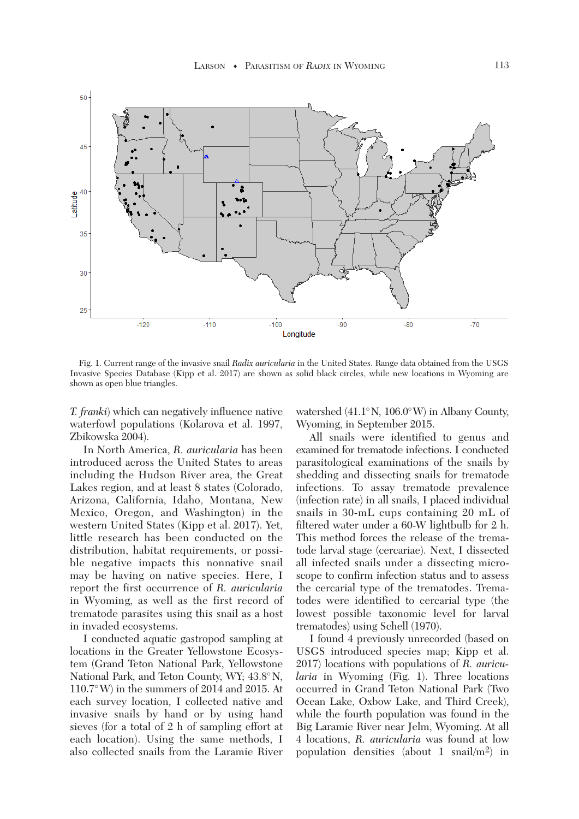

 Fig. 1. Current range of the invasive snail *Radix auricularia* in the United States. Range data obtained from the USGS Invasive Species Database (Kipp et al. 2017) are shown as solid black circles, while new locations in Wyoming are shown as open blue triangles.

*T. franki*) which can negatively influence native waterfowl populations (Kolarova et al. 1997, Zbikowska 2004).

 In North America, *R. auricularia* has been introduced across the United States to areas including the Hudson River area, the Great Lakes region, and at least 8 states (Colorado, Arizona, California, Idaho, Montana, New Mexico, Oregon, and Washington) in the western United States (Kipp et al. 2017). Yet, little research has been conducted on the distribution, habitat requirements, or possible negative impacts this nonnative snail may be having on native species. Here, I report the first occurrence of *R. auricularia* in Wyoming, as well as the first record of trematode parasites using this snail as a host in invaded ecosystems.

 I conducted aquatic gastropod sampling at locations in the Greater Yellowstone Ecosystem (Grand Teton National Park, Yellowstone National Park, and Teton County, WY; 43.8°N, 110.7°W) in the summers of 2014 and 2015. At each survey location, I collected native and invasive snails by hand or by using hand sieves (for a total of 2 h of sampling effort at each location). Using the same methods, I also collected snails from the Laramie River watershed (41.1°N, 106.0°W) in Albany County, Wyoming, in September 2015.

 All snails were identified to genus and examined for trematode infections. I conducted parasitological examinations of the snails by shedding and dissecting snails for trematode infections. To assay trematode prevalence (infection rate) in all snails, I placed individual snails in 30-mL cups containing 20 mL of filtered water under a 60-W lightbulb for 2 h. This method forces the release of the trematode larval stage (cercariae). Next, I dissected all infected snails under a dissecting microscope to confirm infection status and to assess the cercarial type of the trematodes. Trematodes were identified to cercarial type (the lowest possible taxonomic level for larval trematodes) using Schell (1970).

 I found 4 previously unrecorded (based on USGS introduced species map; Kipp et al. 2017) locations with populations of *R. auricularia* in Wyoming (Fig. 1). Three locations occurred in Grand Teton National Park (Two Ocean Lake, Oxbow Lake, and Third Creek), while the fourth population was found in the Big Laramie River near Jelm, Wyoming. At all 4 locations, *R. auricularia* was found at low population densities (about 1 snail/m2) in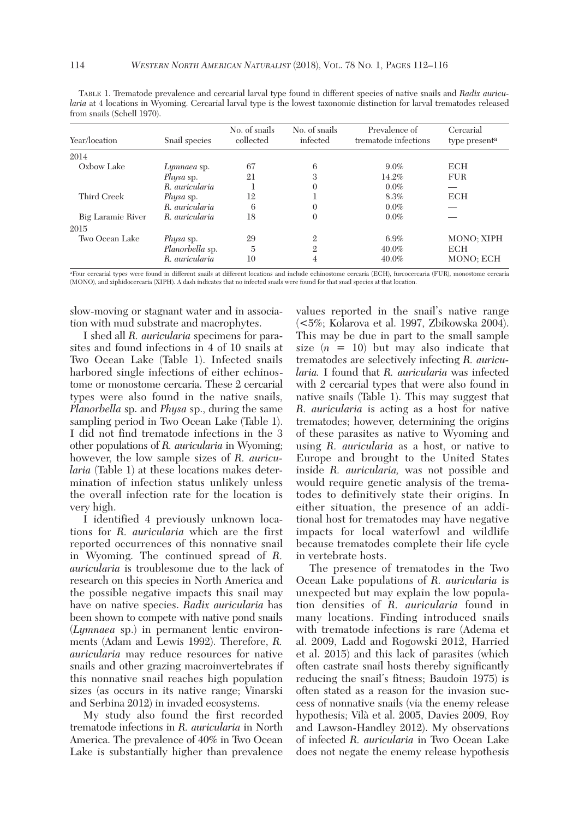| Year/location     | Snail species    | No. of snails<br>collected | No. of snails<br>infected | Prevalence of<br>trematode infections | Cercarial<br>type present <sup>a</sup> |
|-------------------|------------------|----------------------------|---------------------------|---------------------------------------|----------------------------------------|
| 2014              |                  |                            |                           |                                       |                                        |
| Oxbow Lake        | Lymnaea sp.      | 67                         | 6                         | $9.0\%$                               | <b>ECH</b>                             |
|                   | <i>Physa</i> sp. | 21                         | 3                         | 14.2%                                 | <b>FUR</b>                             |
|                   | R. auricularia   |                            | 0                         | $0.0\%$                               |                                        |
| Third Creek       | <i>Physa</i> sp. | 12                         |                           | 8.3%                                  | <b>ECH</b>                             |
|                   | R. auricularia   | 6                          | 0                         | $0.0\%$                               |                                        |
| Big Laramie River | R. auricularia   | 18                         | 0                         | $0.0\%$                               |                                        |
| 2015              |                  |                            |                           |                                       |                                        |
| Two Ocean Lake    | <i>Physa</i> sp. | 29                         | $\mathfrak{2}$            | 6.9%                                  | MONO: XIPH                             |
|                   | Planorbella sp.  | 5                          | $\mathfrak{2}$            | 40.0%                                 | <b>ECH</b>                             |
|                   | R. auricularia   | 10                         | 4                         | $40.0\%$                              | <b>MONO: ECH</b>                       |

 TABLE 1. Trematode prevalence and cercarial larval type found in different species of native snails and *Radix auricularia* at 4 locations in Wyoming. Cercarial larval type is the lowest taxonomic distinction for larval trematodes released from snails (Schell 1970).

aFour cercarial types were found in different snails at different locations and include echinostome cercaria (ECH), furcocercaria (FUR), monostome cercaria (MONO), and xiphidocercaria (XIPH). A dash indicates that no infected snails were found for that snail species at that location.

slow-moving or stagnant water and in association with mud substrate and macrophytes.

 I shed all *R. auricularia* specimens for parasites and found infections in 4 of 10 snails at Two Ocean Lake (Table 1). Infected snails harbored single infections of either echinostome or monostome cercaria. These 2 cercarial types were also found in the native snails, *Planorbella* sp. and *Physa* sp., during the same sampling period in Two Ocean Lake (Table 1). I did not find trematode infections in the 3 other populations of *R. auricularia* in Wyoming; however, the low sample sizes of *R. auricularia* (Table 1) at these locations makes determination of infection status unlikely unless the overall infection rate for the location is very high.

 I identified 4 previously unknown locations for *R. auricularia* which are the first reported occurrences of this nonnative snail in Wyoming. The continued spread of *R. auricularia* is troublesome due to the lack of research on this species in North America and the possible negative impacts this snail may have on native species. *Radix auricularia* has been shown to compete with native pond snails (*Lymnaea* sp.) in permanent lentic environments (Adam and Lewis 1992). Therefore, *R. auricularia* may reduce resources for native snails and other grazing macroinvertebrates if this nonnative snail reaches high population sizes (as occurs in its native range; Vinarski and Serbina 2012) in invaded ecosystems.

 My study also found the first recorded trematode infections in *R. auricularia* in North America. The prevalence of 40% in Two Ocean Lake is substantially higher than prevalence values reported in the snail's native range (<5%; Kolarova et al. 1997, Zbikowska 2004). This may be due in part to the small sample size  $(n = 10)$  but may also indicate that trematodes are selectively infecting *R. auricularia.* I found that *R. auricularia* was infected with 2 cercarial types that were also found in native snails (Table 1). This may suggest that *R. auricularia* is acting as a host for native trematodes; however, determining the origins of these parasites as native to Wyoming and using *R. auricularia* as a host, or native to Europe and brought to the United States inside *R. auricularia,* was not possible and would require genetic analysis of the trematodes to definitively state their origins. In either situation, the presence of an additional host for trematodes may have negative impacts for local waterfowl and wildlife because trematodes complete their life cycle in vertebrate hosts.

 The presence of trematodes in the Two Ocean Lake populations of *R. auricularia* is unexpected but may explain the low population densities of *R. auricularia* found in many locations. Finding introduced snails with trematode infections is rare (Adema et al. 2009, Ladd and Rogowski 2012, Harried et al. 2015) and this lack of parasites (which often castrate snail hosts thereby significantly reducing the snail's fitness; Baudoin 1975) is often stated as a reason for the invasion success of nonnative snails (via the enemy release hypothesis; Vilà et al. 2005, Davies 2009, Roy and Lawson-Handley 2012). My observations of infected *R. auricularia* in Two Ocean Lake does not negate the enemy release hypothesis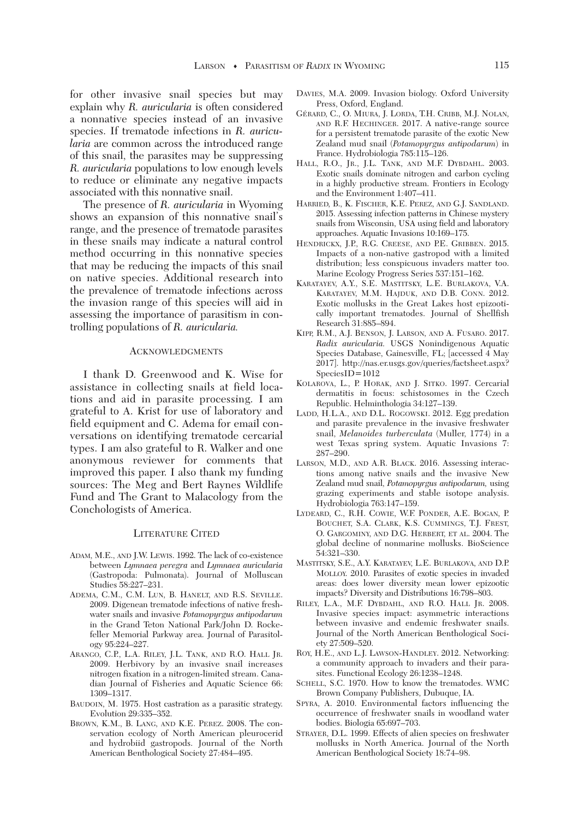for other invasive snail species but may explain why *R. auricularia* is often considered a nonnative species instead of an invasive species. If trematode infections in *R. auricularia* are common across the introduced range of this snail, the parasites may be suppressing *R. auricularia* populations to low enough levels to reduce or eliminate any negative impacts associated with this nonnative snail.

 The presence of *R. auricularia* in Wyoming shows an expansion of this nonnative snail's range, and the presence of trematode parasites in these snails may indicate a natural control method occurring in this nonnative species that may be reducing the impacts of this snail on native species. Additional research into the prevalence of trematode infections across the invasion range of this species will aid in assessing the importance of parasitism in controlling populations of *R. auricularia.*

## ACKNOWLEDGMENTS

 I thank D. Greenwood and K. Wise for assistance in collecting snails at field locations and aid in parasite processing. I am grateful to A. Krist for use of laboratory and field equipment and C. Adema for email conversations on identifying trematode cercarial types. I am also grateful to R. Walker and one anonymous reviewer for comments that improved this paper. I also thank my funding sources: The Meg and Bert Raynes Wildlife Fund and The Grant to Malacology from the Conchologists of America.

## LITERATURE CITED

- ADAM, M.E., AND J.W. LEWIS. 1992. The lack of co-existence between *Lymnaea peregra* and *Lymnaea auricularia* (Gastropoda: Pulmonata). Journal of Molluscan Studies 58:227–231.
- ADEMA, C.M., C.M. LUN, B. HANELT, AND R.S. SEVILLE. 2009. Digenean trematode infections of native freshwater snails and invasive *Potamopyrgus antipodarum* in the Grand Teton National Park/John D. Rockefeller Memorial Parkway area. Journal of Parasitology 95:224–227.
- ARANGO, C.P., L.A. RILEY, J.L. TANK, AND R.O. HALL JR. 2009. Herbivory by an invasive snail increases nitrogen fixation in a nitrogen-limited stream. Canadian Journal of Fisheries and Aquatic Science 66: 1309–1317.
- BAUDOIN, M. 1975. Host castration as a parasitic strategy. Evolution 29:335–352.
- BROWN, K.M., B. LANG, AND K.E. PEREZ. 2008. The conservation ecology of North American pleurocerid and hydrobiid gastropods. Journal of the North American Benthological Society 27:484–495.
- DAVIES, M.A. 2009. Invasion biology. Oxford University Press, Oxford, England.
- GÉRARD, C., O. MIURA, J. LORDA, T.H. CRIBB, M.J. NOLAN, AND R.F. HECHINGER. 2017. A native-range source for a persistent trematode parasite of the exotic New Zealand mud snail (*Potamopyrgus antipodarum*) in France. Hydrobiologia 785:115–126.
- HALL, R.O., JR., J.L. TANK, AND M.F. DYBDAHL. 2003. Exotic snails dominate nitrogen and carbon cycling in a highly productive stream. Frontiers in Ecology and the Environment 1:407–411.
- HARRIED, B., K. FISCHER, K.E. PEREZ, AND G.J. SANDLAND. 2015. Assessing infection patterns in Chinese mystery snails from Wisconsin, USA using field and laboratory approaches. Aquatic Invasions 10:169–175.
- HENDRICKX, J.P., R.G. CREESE, AND P.E. GRIBBEN. 2015. Impacts of a non-native gastropod with a limited distribution; less conspicuous invaders matter too. Marine Ecology Progress Series 537:151–162.
- KARATAYEV, A.Y., S.E. MASTITSKY, L.E. BURLAKOVA, V.A. KARATAYEV, M.M. HAJDUK, AND D.B. CONN. 2012. Exotic mollusks in the Great Lakes host epizootically important trematodes. Journal of Shellfish Research 31:885–894.
- KIPP, R.M., A.J. BENSON, J. LARSON, AND A. FUSARO. 2017. *Radix auricularia.* USGS Nonindigenous Aquatic Species Database, Gainesville, FL; [accessed 4 May 2017]. http://nas.er.usgs.gov/queries/factsheet.aspx? SpeciesID=1012
- KOLAROVA, L., P. HORAK, AND J. SITKO. 1997. Cercarial dermatitis in focus: schistosomes in the Czech Republic. Helminthologia 34:127–139.
- LADD, H.L.A., AND D.L. ROGOWSKI. 2012. Egg predation and parasite prevalence in the invasive freshwater snail, *Melanoides turberculata* (Muller, 1774) in a west Texas spring system. Aquatic Invasions 7: 287–290.
- LARSON, M.D., AND A.R. BLACK. 2016. Assessing interactions among native snails and the invasive New Zealand mud snail, *Potamopyrgus antipodarum,* using grazing experiments and stable isotope analysis. Hydrobiologia 763:147–159.
- LYDEARD, C., R.H. COWIE, W.F. PONDER, A.E. BOGAN, P. BOUCHET, S.A. CLARK, K.S. CUMMINGS, T.J. FREST, O. GARGOMINY, AND D.G. HERBERT, ET AL. 2004. The global decline of nonmarine mollusks. BioScience 54:321–330.
- MASTITSKY, S.E., A.Y. KARATAYEV, L.E. BURLAKOVA, AND D.P. MOLLOY. 2010. Parasites of exotic species in invaded areas: does lower diversity mean lower epizootic impacts? Diversity and Distributions 16:798–803.
- RILEY, L.A., M.F. DYBDAHL, AND R.O. HALL JR. 2008. Invasive species impact: asymmetric interactions between invasive and endemic freshwater snails. Journal of the North American Benthological Society 27:509–520.
- ROY, H.E., AND L.J. LAWSON-HANDLEY. 2012. Networking: a community approach to invaders and their parasites. Functional Ecology 26:1238–1248.
- SCHELL, S.C. 1970. How to know the trematodes. WMC Brown Company Publishers, Dubuque, IA.
- SPYRA, A. 2010. Environmental factors influencing the occurrence of freshwater snails in woodland water bodies. Biologia 65:697–703.
- STRAYER, D.L. 1999. Effects of alien species on freshwater mollusks in North America. Journal of the North American Benthological Society 18:74–98.